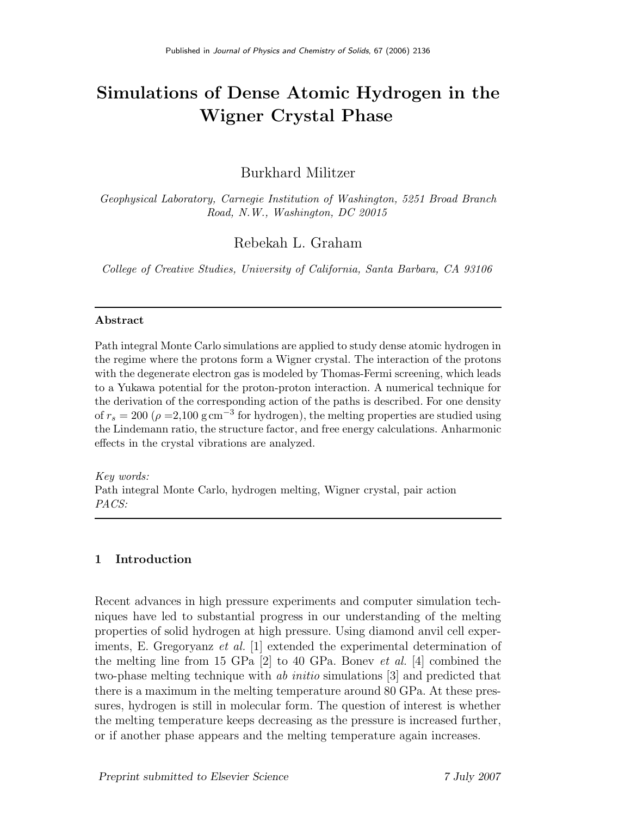# Simulations of Dense Atomic Hydrogen in the Wigner Crystal Phase

# Burkhard Militzer

Geophysical Laboratory, Carnegie Institution of Washington, 5251 Broad Branch Road, N.W., Washington, DC 20015

Rebekah L. Graham

College of Creative Studies, University of California, Santa Barbara, CA 93106

## Abstract

Path integral Monte Carlo simulations are applied to study dense atomic hydrogen in the regime where the protons form a Wigner crystal. The interaction of the protons with the degenerate electron gas is modeled by Thomas-Fermi screening, which leads to a Yukawa potential for the proton-proton interaction. A numerical technique for the derivation of the corresponding action of the paths is described. For one density of  $r_s = 200 \; (\rho = 2,100 \text{ g cm}^{-3} \text{ for hydrogen})$ , the melting properties are studied using the Lindemann ratio, the structure factor, and free energy calculations. Anharmonic effects in the crystal vibrations are analyzed.

Key words: Path integral Monte Carlo, hydrogen melting, Wigner crystal, pair action PACS:

# 1 Introduction

Recent advances in high pressure experiments and computer simulation techniques have led to substantial progress in our understanding of the melting properties of solid hydrogen at high pressure. Using diamond anvil cell experiments, E. Gregoryanz et al. [1] extended the experimental determination of the melting line from 15 GPa  $[2]$  to 40 GPa. Bonev *et al.* [4] combined the two-phase melting technique with ab initio simulations [3] and predicted that there is a maximum in the melting temperature around 80 GPa. At these pressures, hydrogen is still in molecular form. The question of interest is whether the melting temperature keeps decreasing as the pressure is increased further, or if another phase appears and the melting temperature again increases.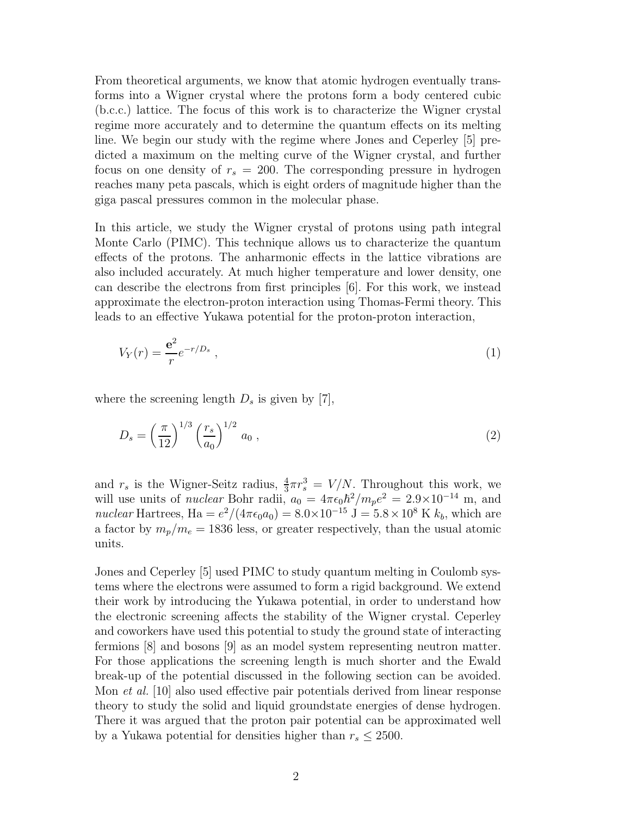From theoretical arguments, we know that atomic hydrogen eventually transforms into a Wigner crystal where the protons form a body centered cubic (b.c.c.) lattice. The focus of this work is to characterize the Wigner crystal regime more accurately and to determine the quantum effects on its melting line. We begin our study with the regime where Jones and Ceperley [5] predicted a maximum on the melting curve of the Wigner crystal, and further focus on one density of  $r_s = 200$ . The corresponding pressure in hydrogen reaches many peta pascals, which is eight orders of magnitude higher than the giga pascal pressures common in the molecular phase.

In this article, we study the Wigner crystal of protons using path integral Monte Carlo (PIMC). This technique allows us to characterize the quantum effects of the protons. The anharmonic effects in the lattice vibrations are also included accurately. At much higher temperature and lower density, one can describe the electrons from first principles [6]. For this work, we instead approximate the electron-proton interaction using Thomas-Fermi theory. This leads to an effective Yukawa potential for the proton-proton interaction,

$$
V_Y(r) = \frac{e^2}{r} e^{-r/D_s} \,,\tag{1}
$$

where the screening length  $D_s$  is given by [7],

$$
D_s = \left(\frac{\pi}{12}\right)^{1/3} \left(\frac{r_s}{a_0}\right)^{1/2} a_0 ,\qquad (2)
$$

and  $r_s$  is the Wigner-Seitz radius,  $\frac{4}{3}\pi r_s^3 = V/N$ . Throughout this work, we will use units of *nuclear* Bohr radii,  $a_0 = 4\pi\epsilon_0\hbar^2/m_p e^2 = 2.9 \times 10^{-14}$  m, and nuclear Hartrees, Ha =  $e^2/(4\pi\epsilon_0 a_0) = 8.0 \times 10^{-15}$  J =  $5.8 \times 10^8$  K  $k_b$ , which are a factor by  $m_p/m_e = 1836$  less, or greater respectively, than the usual atomic units.

Jones and Ceperley [5] used PIMC to study quantum melting in Coulomb systems where the electrons were assumed to form a rigid background. We extend their work by introducing the Yukawa potential, in order to understand how the electronic screening affects the stability of the Wigner crystal. Ceperley and coworkers have used this potential to study the ground state of interacting fermions [8] and bosons [9] as an model system representing neutron matter. For those applications the screening length is much shorter and the Ewald break-up of the potential discussed in the following section can be avoided. Mon et al. [10] also used effective pair potentials derived from linear response theory to study the solid and liquid groundstate energies of dense hydrogen. There it was argued that the proton pair potential can be approximated well by a Yukawa potential for densities higher than  $r_s \leq 2500$ .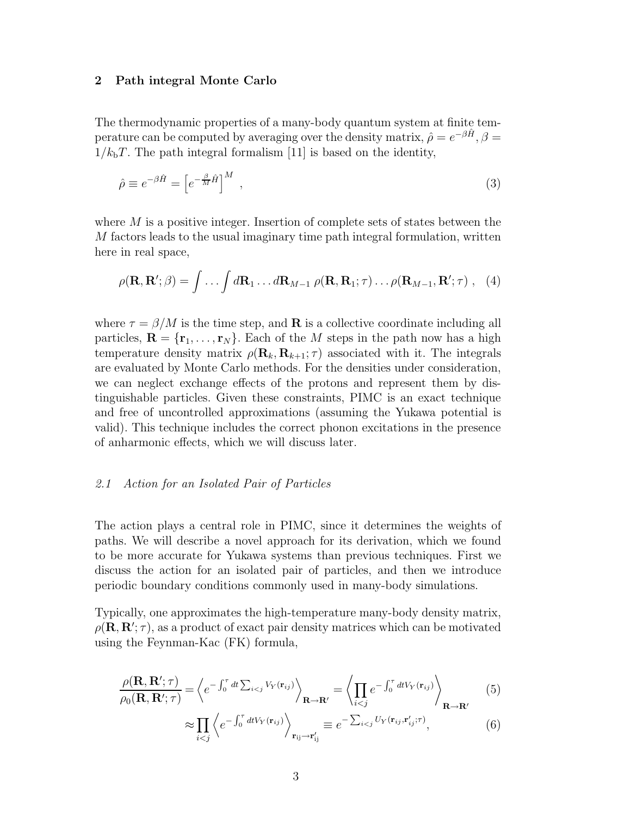#### 2 Path integral Monte Carlo

The thermodynamic properties of a many-body quantum system at finite temperature can be computed by averaging over the density matrix,  $\hat{\rho} = e^{-\beta \hat{H}}, \beta =$  $1/k<sub>b</sub>T$ . The path integral formalism [11] is based on the identity,

$$
\hat{\rho} \equiv e^{-\beta \hat{H}} = \left[ e^{-\frac{\beta}{M} \hat{H}} \right]^M , \tag{3}
$$

where  $M$  is a positive integer. Insertion of complete sets of states between the M factors leads to the usual imaginary time path integral formulation, written here in real space,

$$
\rho(\mathbf{R}, \mathbf{R}'; \beta) = \int \ldots \int d\mathbf{R}_1 \ldots d\mathbf{R}_{M-1} \rho(\mathbf{R}, \mathbf{R}_1; \tau) \ldots \rho(\mathbf{R}_{M-1}, \mathbf{R}'; \tau) , \quad (4)
$$

where  $\tau = \beta/M$  is the time step, and **R** is a collective coordinate including all particles,  $\mathbf{R} = {\mathbf{r}_1, \dots, \mathbf{r}_N}$ . Each of the *M* steps in the path now has a high temperature density matrix  $\rho(\mathbf{R}_k, \mathbf{R}_{k+1}; \tau)$  associated with it. The integrals are evaluated by Monte Carlo methods. For the densities under consideration, we can neglect exchange effects of the protons and represent them by distinguishable particles. Given these constraints, PIMC is an exact technique and free of uncontrolled approximations (assuming the Yukawa potential is valid). This technique includes the correct phonon excitations in the presence of anharmonic effects, which we will discuss later.

#### 2.1 Action for an Isolated Pair of Particles

The action plays a central role in PIMC, since it determines the weights of paths. We will describe a novel approach for its derivation, which we found to be more accurate for Yukawa systems than previous techniques. First we discuss the action for an isolated pair of particles, and then we introduce periodic boundary conditions commonly used in many-body simulations.

Typically, one approximates the high-temperature many-body density matrix,  $\rho(\mathbf{R}, \mathbf{R}'; \tau)$ , as a product of exact pair density matrices which can be motivated using the Feynman-Kac (FK) formula,

$$
\frac{\rho(\mathbf{R}, \mathbf{R}'; \tau)}{\rho_0(\mathbf{R}, \mathbf{R}'; \tau)} = \left\langle e^{-\int_0^{\tau} dt \sum_{i < j} V_Y(\mathbf{r}_{ij})} \right\rangle_{\mathbf{R} \to \mathbf{R}'} = \left\langle \prod_{i < j} e^{-\int_0^{\tau} dt V_Y(\mathbf{r}_{ij})} \right\rangle_{\mathbf{R} \to \mathbf{R}'}
$$
\n
$$
\approx \prod_{i < j} \left\langle e^{-\int_0^{\tau} dt V_Y(\mathbf{r}_{ij})} \right\rangle_{\mathbf{r}_{ij} \to \mathbf{r}'_{ij}} \equiv e^{-\sum_{i < j} U_Y(\mathbf{r}_{ij}, \mathbf{r}'_{ij}; \tau)}, \tag{6}
$$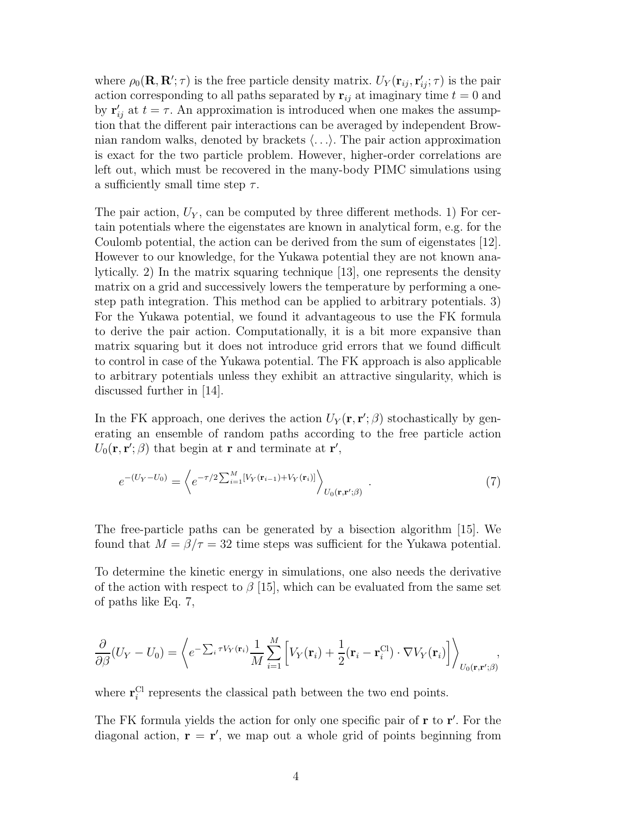where  $\rho_0(\mathbf{R}, \mathbf{R}'; \tau)$  is the free particle density matrix.  $U_Y(\mathbf{r}_{ij}, \mathbf{r}'_{ij}; \tau)$  is the pair action corresponding to all paths separated by  $\mathbf{r}_{ij}$  at imaginary time  $t = 0$  and by  $\mathbf{r}'_{ij}$  at  $t = \tau$ . An approximation is introduced when one makes the assumption that the different pair interactions can be averaged by independent Brownian random walks, denoted by brackets  $\langle \ldots \rangle$ . The pair action approximation is exact for the two particle problem. However, higher-order correlations are left out, which must be recovered in the many-body PIMC simulations using a sufficiently small time step  $\tau$ .

The pair action,  $U_Y$ , can be computed by three different methods. 1) For certain potentials where the eigenstates are known in analytical form, e.g. for the Coulomb potential, the action can be derived from the sum of eigenstates [12]. However to our knowledge, for the Yukawa potential they are not known analytically. 2) In the matrix squaring technique [13], one represents the density matrix on a grid and successively lowers the temperature by performing a onestep path integration. This method can be applied to arbitrary potentials. 3) For the Yukawa potential, we found it advantageous to use the FK formula to derive the pair action. Computationally, it is a bit more expansive than matrix squaring but it does not introduce grid errors that we found difficult to control in case of the Yukawa potential. The FK approach is also applicable to arbitrary potentials unless they exhibit an attractive singularity, which is discussed further in [14].

In the FK approach, one derives the action  $U_Y(\mathbf{r}, \mathbf{r}'; \beta)$  stochastically by generating an ensemble of random paths according to the free particle action  $U_0(\mathbf{r}, \mathbf{r}'; \beta)$  that begin at **r** and terminate at **r'**,

$$
e^{-(U_Y - U_0)} = \left\langle e^{-\tau/2 \sum_{i=1}^M [V_Y(\mathbf{r}_{i-1}) + V_Y(\mathbf{r}_i)]} \right\rangle_{U_0(\mathbf{r}, \mathbf{r}'; \beta)}.
$$
 (7)

The free-particle paths can be generated by a bisection algorithm [15]. We found that  $M = \beta/\tau = 32$  time steps was sufficient for the Yukawa potential.

To determine the kinetic energy in simulations, one also needs the derivative of the action with respect to  $\beta$  [15], which can be evaluated from the same set of paths like Eq. 7,

$$
\frac{\partial}{\partial \beta}(U_Y - U_0) = \left\langle e^{-\sum_i \tau V_Y(\mathbf{r}_i)} \frac{1}{M} \sum_{i=1}^M \left[ V_Y(\mathbf{r}_i) + \frac{1}{2} (\mathbf{r}_i - \mathbf{r}_i^{\text{Cl}}) \cdot \nabla V_Y(\mathbf{r}_i) \right] \right\rangle_{U_0(\mathbf{r}, \mathbf{r}'; \beta)},
$$

where  $\mathbf{r}_i^{\text{Cl}}$  represents the classical path between the two end points.

The FK formula yields the action for only one specific pair of **r** to **r'**. For the diagonal action,  $\mathbf{r} = \mathbf{r}'$ , we map out a whole grid of points beginning from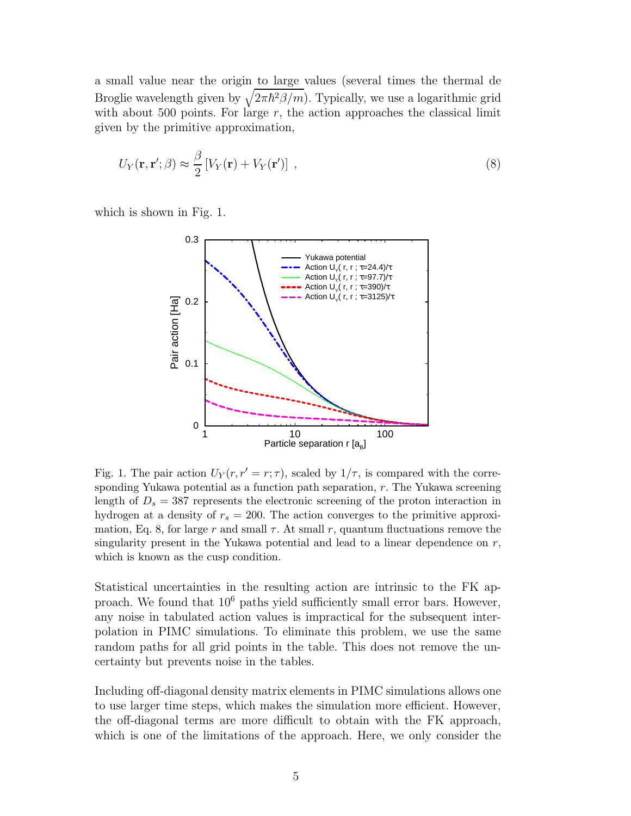a small value near the origin to large values (several times the thermal de Broglie wavelength given by  $\sqrt{2\pi\hbar^2\beta/m}$ . Typically, we use a logarithmic grid with about 500 points. For large  $r$ , the action approaches the classical limit given by the primitive approximation,

$$
U_Y(\mathbf{r}, \mathbf{r}'; \beta) \approx \frac{\beta}{2} \left[ V_Y(\mathbf{r}) + V_Y(\mathbf{r}') \right] , \qquad (8)
$$

which is shown in Fig. 1.



Fig. 1. The pair action  $U_Y(r, r' = r; \tau)$ , scaled by  $1/\tau$ , is compared with the corresponding Yukawa potential as a function path separation, r. The Yukawa screening length of  $D_s = 387$  represents the electronic screening of the proton interaction in hydrogen at a density of  $r_s = 200$ . The action converges to the primitive approximation, Eq. 8, for large r and small  $\tau$ . At small r, quantum fluctuations remove the singularity present in the Yukawa potential and lead to a linear dependence on  $r$ , which is known as the cusp condition.

Statistical uncertainties in the resulting action are intrinsic to the FK approach. We found that 10<sup>6</sup> paths yield sufficiently small error bars. However, any noise in tabulated action values is impractical for the subsequent interpolation in PIMC simulations. To eliminate this problem, we use the same random paths for all grid points in the table. This does not remove the uncertainty but prevents noise in the tables.

Including off-diagonal density matrix elements in PIMC simulations allows one to use larger time steps, which makes the simulation more efficient. However, the off-diagonal terms are more difficult to obtain with the FK approach, which is one of the limitations of the approach. Here, we only consider the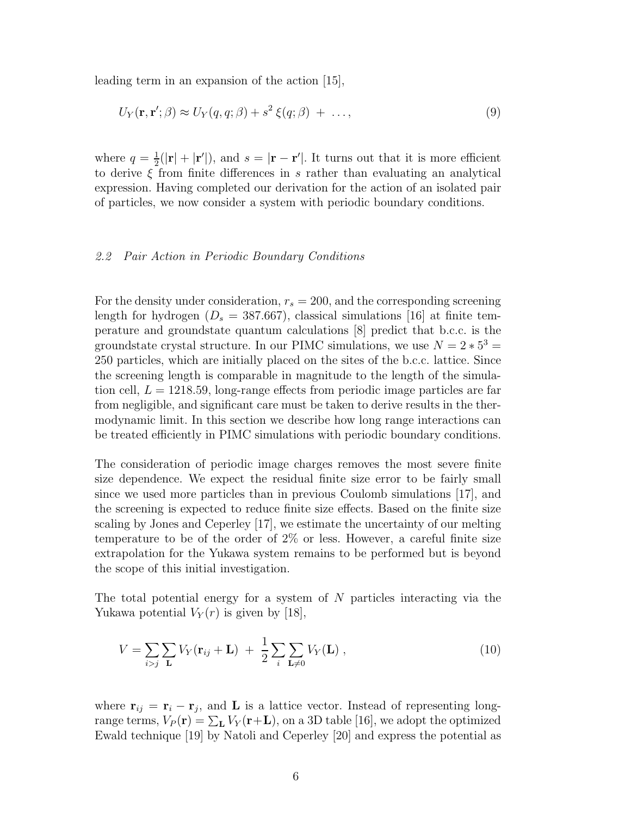leading term in an expansion of the action [15],

$$
U_Y(\mathbf{r}, \mathbf{r}'; \beta) \approx U_Y(q, q; \beta) + s^2 \xi(q; \beta) + \dots,
$$
\n(9)

where  $q=\frac{1}{2}$  $\frac{1}{2}(|\mathbf{r}| + |\mathbf{r}'|)$ , and  $s = |\mathbf{r} - \mathbf{r}'|$ . It turns out that it is more efficient to derive  $\xi$  from finite differences in s rather than evaluating an analytical expression. Having completed our derivation for the action of an isolated pair of particles, we now consider a system with periodic boundary conditions.

#### 2.2 Pair Action in Periodic Boundary Conditions

For the density under consideration,  $r_s = 200$ , and the corresponding screening length for hydrogen  $(D_s = 387.667)$ , classical simulations [16] at finite temperature and groundstate quantum calculations [8] predict that b.c.c. is the groundstate crystal structure. In our PIMC simulations, we use  $N = 2 * 5^3 =$ 250 particles, which are initially placed on the sites of the b.c.c. lattice. Since the screening length is comparable in magnitude to the length of the simulation cell,  $L = 1218.59$ , long-range effects from periodic image particles are far from negligible, and significant care must be taken to derive results in the thermodynamic limit. In this section we describe how long range interactions can be treated efficiently in PIMC simulations with periodic boundary conditions.

The consideration of periodic image charges removes the most severe finite size dependence. We expect the residual finite size error to be fairly small since we used more particles than in previous Coulomb simulations [17], and the screening is expected to reduce finite size effects. Based on the finite size scaling by Jones and Ceperley [17], we estimate the uncertainty of our melting temperature to be of the order of 2% or less. However, a careful finite size extrapolation for the Yukawa system remains to be performed but is beyond the scope of this initial investigation.

The total potential energy for a system of N particles interacting via the Yukawa potential  $V_Y(r)$  is given by [18],

$$
V = \sum_{i>j} \sum_{\mathbf{L}} V_Y(\mathbf{r}_{ij} + \mathbf{L}) + \frac{1}{2} \sum_{i} \sum_{\mathbf{L} \neq 0} V_Y(\mathbf{L}), \qquad (10)
$$

where  $\mathbf{r}_{ij} = \mathbf{r}_i - \mathbf{r}_j$ , and **L** is a lattice vector. Instead of representing longrange terms,  $V_P(\mathbf{r}) = \sum_{\mathbf{L}} V_Y(\mathbf{r}+\mathbf{L})$ , on a 3D table [16], we adopt the optimized Ewald technique [19] by Natoli and Ceperley [20] and express the potential as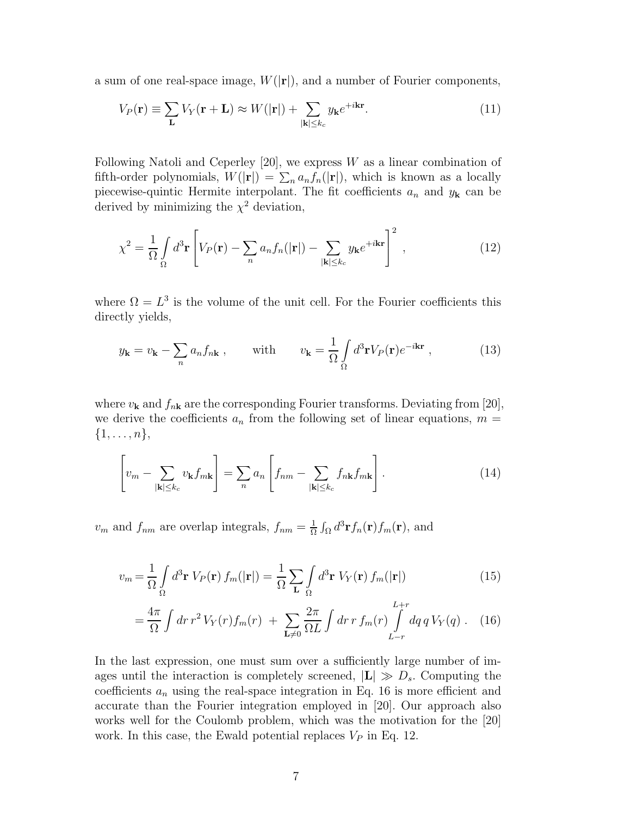a sum of one real-space image,  $W(|{\bf r}|)$ , and a number of Fourier components,

$$
V_P(\mathbf{r}) \equiv \sum_{\mathbf{L}} V_Y(\mathbf{r} + \mathbf{L}) \approx W(|\mathbf{r}|) + \sum_{|\mathbf{k}| \le k_c} y_{\mathbf{k}} e^{+i\mathbf{k}\mathbf{r}}.
$$
 (11)

Following Natoli and Ceperley [20], we express  $W$  as a linear combination of fifth-order polynomials,  $W(|\mathbf{r}|) = \sum_n a_n f_n(|\mathbf{r}|)$ , which is known as a locally piecewise-quintic Hermite interpolant. The fit coefficients  $a_n$  and  $y_k$  can be derived by minimizing the  $\chi^2$  deviation,

$$
\chi^2 = \frac{1}{\Omega} \int_{\Omega} d^3 \mathbf{r} \left[ V_P(\mathbf{r}) - \sum_n a_n f_n(|\mathbf{r}|) - \sum_{|\mathbf{k}| \le k_c} y_\mathbf{k} e^{+i\mathbf{k}\mathbf{r}} \right]^2 , \qquad (12)
$$

where  $\Omega = L^3$  is the volume of the unit cell. For the Fourier coefficients this directly yields,

$$
y_{\mathbf{k}} = v_{\mathbf{k}} - \sum_{n} a_n f_{n\mathbf{k}} , \qquad \text{with} \qquad v_{\mathbf{k}} = \frac{1}{\Omega} \int_{\Omega} d^3 \mathbf{r} V_P(\mathbf{r}) e^{-i\mathbf{k}\mathbf{r}} , \qquad (13)
$$

where  $v_{\mathbf{k}}$  and  $f_{n\mathbf{k}}$  are the corresponding Fourier transforms. Deviating from [20], we derive the coefficients  $a_n$  from the following set of linear equations,  $m =$  $\{1,\ldots,n\},\$ 

$$
\left[v_m - \sum_{|\mathbf{k}| \le k_c} v_{\mathbf{k}} f_{m\mathbf{k}}\right] = \sum_n a_n \left[f_{nm} - \sum_{|\mathbf{k}| \le k_c} f_{n\mathbf{k}} f_{m\mathbf{k}}\right].
$$
 (14)

 $v_m$  and  $f_{nm}$  are overlap integrals,  $f_{nm} = \frac{1}{\Omega}$  $\frac{1}{\Omega} \int_{\Omega} d^3 \mathbf{r} f_n(\mathbf{r}) f_m(\mathbf{r}), \text{ and}$ 

$$
v_m = \frac{1}{\Omega} \int_{\Omega} d^3 \mathbf{r} \ V_P(\mathbf{r}) \ f_m(|\mathbf{r}|) = \frac{1}{\Omega} \sum_{\mathbf{L}} \int_{\Omega} d^3 \mathbf{r} \ V_Y(\mathbf{r}) \ f_m(|\mathbf{r}|) \tag{15}
$$

$$
= \frac{4\pi}{\Omega} \int dr \, r^2 \, V_Y(r) f_m(r) + \sum_{\mathbf{L}\neq 0} \frac{2\pi}{\Omega L} \int dr \, r \, f_m(r) \int_{L-r}^{L+r} dq \, q \, V_Y(q) \, . \tag{16}
$$

In the last expression, one must sum over a sufficiently large number of images until the interaction is completely screened,  $|\mathbf{L}| \gg D_s$ . Computing the coefficients  $a_n$  using the real-space integration in Eq. 16 is more efficient and accurate than the Fourier integration employed in [20]. Our approach also works well for the Coulomb problem, which was the motivation for the [20] work. In this case, the Ewald potential replaces  $V_P$  in Eq. 12.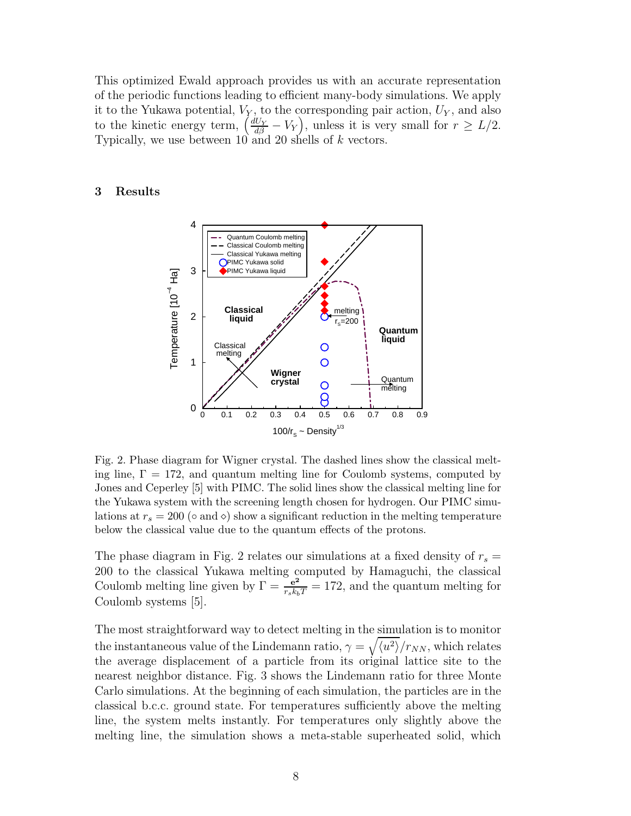This optimized Ewald approach provides us with an accurate representation of the periodic functions leading to efficient many-body simulations. We apply it to the Yukawa potential,  $V_Y$ , to the corresponding pair action,  $U_Y$ , and also to the kinetic energy term,  $\left(\frac{dU_Y}{d\beta} - V_Y\right)$ , unless it is very small for  $r \ge L/2$ . Typically, we use between  $10$  and  $20$  shells of k vectors.

## 3 Results



Fig. 2. Phase diagram for Wigner crystal. The dashed lines show the classical melting line,  $\Gamma = 172$ , and quantum melting line for Coulomb systems, computed by Jones and Ceperley [5] with PIMC. The solid lines show the classical melting line for the Yukawa system with the screening length chosen for hydrogen. Our PIMC simulations at  $r_s = 200$  ( $\circ$  and  $\circ$ ) show a significant reduction in the melting temperature below the classical value due to the quantum effects of the protons.

The phase diagram in Fig. 2 relates our simulations at a fixed density of  $r_s =$ 200 to the classical Yukawa melting computed by Hamaguchi, the classical Coulomb melting line given by  $\Gamma = \frac{e^2}{r_s k_b T} = 172$ , and the quantum melting for Coulomb systems [5].

The most straightforward way to detect melting in the simulation is to monitor the instantaneous value of the Lindemann ratio,  $\gamma = \sqrt{\langle u^2 \rangle}/r_{NN}$ , which relates the average displacement of a particle from its original lattice site to the nearest neighbor distance. Fig. 3 shows the Lindemann ratio for three Monte Carlo simulations. At the beginning of each simulation, the particles are in the classical b.c.c. ground state. For temperatures sufficiently above the melting line, the system melts instantly. For temperatures only slightly above the melting line, the simulation shows a meta-stable superheated solid, which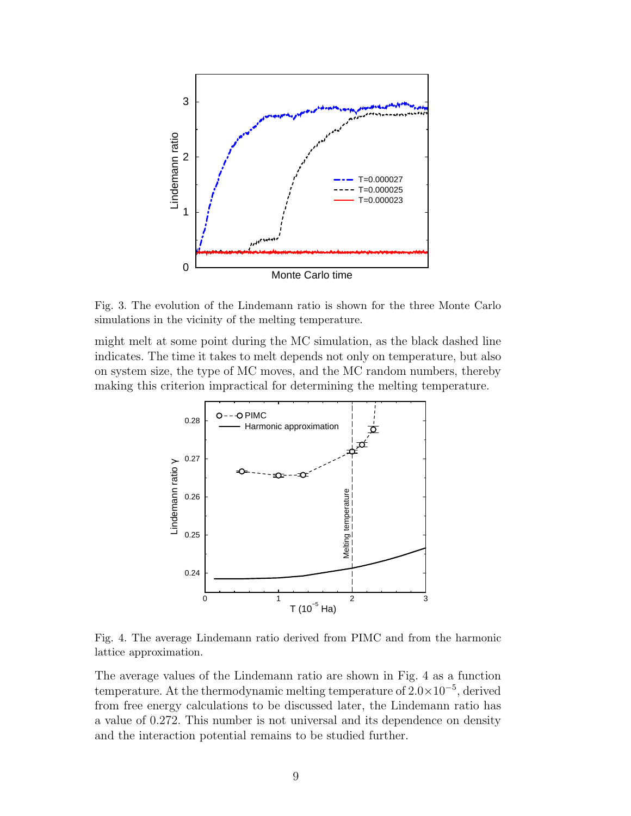

Fig. 3. The evolution of the Lindemann ratio is shown for the three Monte Carlo simulations in the vicinity of the melting temperature.

might melt at some point during the MC simulation, as the black dashed line indicates. The time it takes to melt depends not only on temperature, but also on system size, the type of MC moves, and the MC random numbers, thereby making this criterion impractical for determining the melting temperature.



Fig. 4. The average Lindemann ratio derived from PIMC and from the harmonic lattice approximation.

The average values of the Lindemann ratio are shown in Fig. 4 as a function temperature. At the thermodynamic melting temperature of 2.0×10<sup>−</sup><sup>5</sup> , derived from free energy calculations to be discussed later, the Lindemann ratio has a value of 0.272. This number is not universal and its dependence on density and the interaction potential remains to be studied further.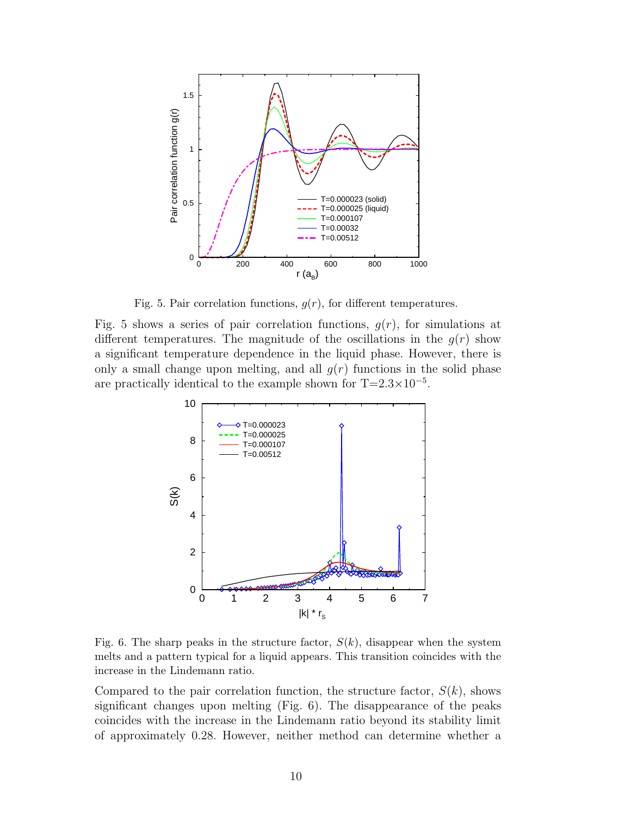

Fig. 5. Pair correlation functions,  $g(r)$ , for different temperatures.

Fig. 5 shows a series of pair correlation functions,  $g(r)$ , for simulations at different temperatures. The magnitude of the oscillations in the  $g(r)$  show a significant temperature dependence in the liquid phase. However, there is only a small change upon melting, and all  $q(r)$  functions in the solid phase are practically identical to the example shown for  $T=2.3\times10^{-5}$ .



Fig. 6. The sharp peaks in the structure factor,  $S(k)$ , disappear when the system melts and a pattern typical for a liquid appears. This transition coincides with the increase in the Lindemann ratio.

Compared to the pair correlation function, the structure factor,  $S(k)$ , shows significant changes upon melting (Fig. 6). The disappearance of the peaks coincides with the increase in the Lindemann ratio beyond its stability limit of approximately 0.28. However, neither method can determine whether a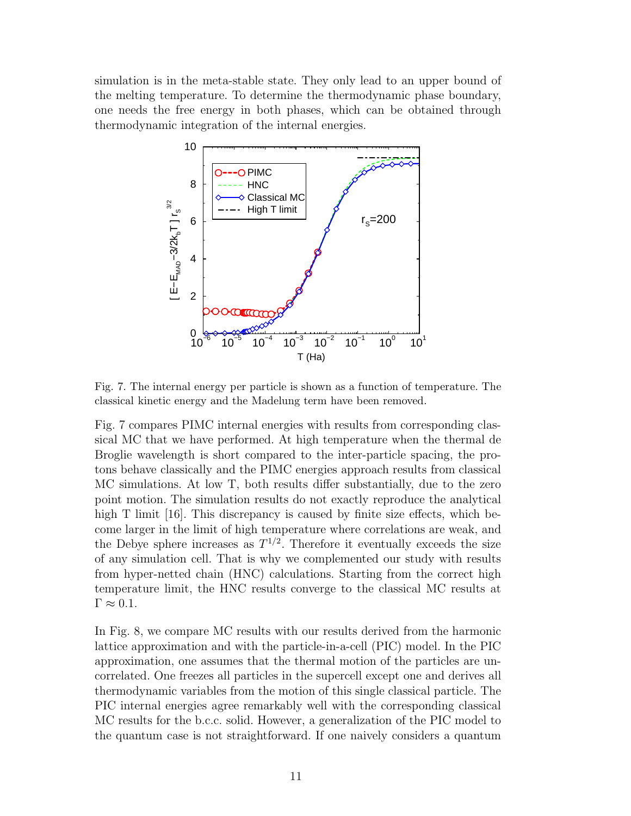simulation is in the meta-stable state. They only lead to an upper bound of the melting temperature. To determine the thermodynamic phase boundary, one needs the free energy in both phases, which can be obtained through thermodynamic integration of the internal energies.



Fig. 7. The internal energy per particle is shown as a function of temperature. The classical kinetic energy and the Madelung term have been removed.

Fig. 7 compares PIMC internal energies with results from corresponding classical MC that we have performed. At high temperature when the thermal de Broglie wavelength is short compared to the inter-particle spacing, the protons behave classically and the PIMC energies approach results from classical MC simulations. At low T, both results differ substantially, due to the zero point motion. The simulation results do not exactly reproduce the analytical high T limit [16]. This discrepancy is caused by finite size effects, which become larger in the limit of high temperature where correlations are weak, and the Debye sphere increases as  $T^{1/2}$ . Therefore it eventually exceeds the size of any simulation cell. That is why we complemented our study with results from hyper-netted chain (HNC) calculations. Starting from the correct high temperature limit, the HNC results converge to the classical MC results at  $\Gamma \approx 0.1$ .

In Fig. 8, we compare MC results with our results derived from the harmonic lattice approximation and with the particle-in-a-cell (PIC) model. In the PIC approximation, one assumes that the thermal motion of the particles are uncorrelated. One freezes all particles in the supercell except one and derives all thermodynamic variables from the motion of this single classical particle. The PIC internal energies agree remarkably well with the corresponding classical MC results for the b.c.c. solid. However, a generalization of the PIC model to the quantum case is not straightforward. If one naively considers a quantum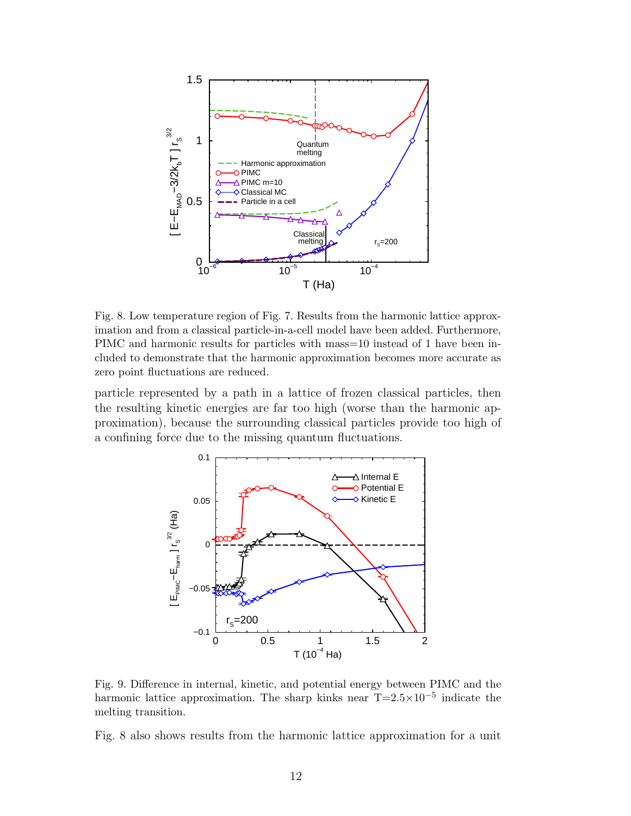

Fig. 8. Low temperature region of Fig. 7. Results from the harmonic lattice approximation and from a classical particle-in-a-cell model have been added. Furthermore, PIMC and harmonic results for particles with mass=10 instead of 1 have been included to demonstrate that the harmonic approximation becomes more accurate as zero point fluctuations are reduced.

particle represented by a path in a lattice of frozen classical particles, then the resulting kinetic energies are far too high (worse than the harmonic approximation), because the surrounding classical particles provide too high of a confining force due to the missing quantum fluctuations.



Fig. 9. Difference in internal, kinetic, and potential energy between PIMC and the harmonic lattice approximation. The sharp kinks near  $T=2.5\times10^{-5}$  indicate the melting transition.

Fig. 8 also shows results from the harmonic lattice approximation for a unit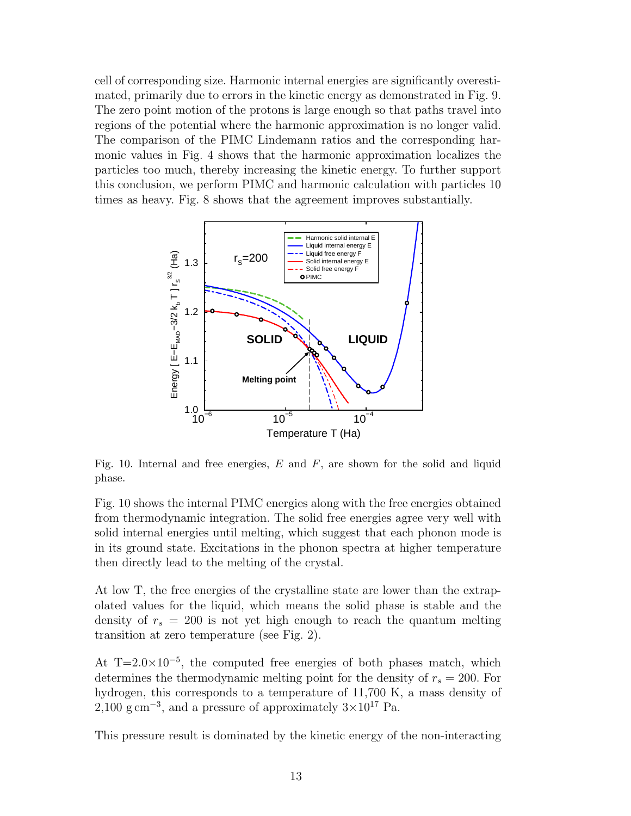cell of corresponding size. Harmonic internal energies are significantly overestimated, primarily due to errors in the kinetic energy as demonstrated in Fig. 9. The zero point motion of the protons is large enough so that paths travel into regions of the potential where the harmonic approximation is no longer valid. The comparison of the PIMC Lindemann ratios and the corresponding harmonic values in Fig. 4 shows that the harmonic approximation localizes the particles too much, thereby increasing the kinetic energy. To further support this conclusion, we perform PIMC and harmonic calculation with particles 10 times as heavy. Fig. 8 shows that the agreement improves substantially.



Fig. 10. Internal and free energies,  $E$  and  $F$ , are shown for the solid and liquid phase.

Fig. 10 shows the internal PIMC energies along with the free energies obtained from thermodynamic integration. The solid free energies agree very well with solid internal energies until melting, which suggest that each phonon mode is in its ground state. Excitations in the phonon spectra at higher temperature then directly lead to the melting of the crystal.

At low T, the free energies of the crystalline state are lower than the extrapolated values for the liquid, which means the solid phase is stable and the density of  $r_s = 200$  is not yet high enough to reach the quantum melting transition at zero temperature (see Fig. 2).

At  $T=2.0\times10^{-5}$ , the computed free energies of both phases match, which determines the thermodynamic melting point for the density of  $r_s = 200$ . For hydrogen, this corresponds to a temperature of 11,700 K, a mass density of  $2,100 \text{ g cm}^{-3}$ , and a pressure of approximately  $3\times10^{17}$  Pa.

This pressure result is dominated by the kinetic energy of the non-interacting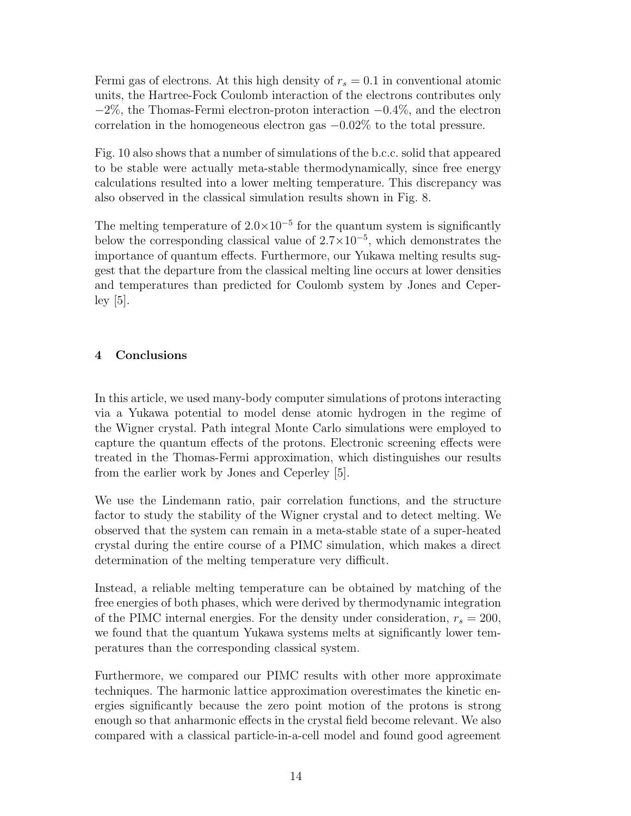Fermi gas of electrons. At this high density of  $r_s = 0.1$  in conventional atomic units, the Hartree-Fock Coulomb interaction of the electrons contributes only  $-2\%$ , the Thomas-Fermi electron-proton interaction  $-0.4\%$ , and the electron correlation in the homogeneous electron gas −0.02% to the total pressure.

Fig. 10 also shows that a number of simulations of the b.c.c. solid that appeared to be stable were actually meta-stable thermodynamically, since free energy calculations resulted into a lower melting temperature. This discrepancy was also observed in the classical simulation results shown in Fig. 8.

The melting temperature of  $2.0 \times 10^{-5}$  for the quantum system is significantly below the corresponding classical value of  $2.7 \times 10^{-5}$ , which demonstrates the importance of quantum effects. Furthermore, our Yukawa melting results suggest that the departure from the classical melting line occurs at lower densities and temperatures than predicted for Coulomb system by Jones and Ceperley [5].

# 4 Conclusions

In this article, we used many-body computer simulations of protons interacting via a Yukawa potential to model dense atomic hydrogen in the regime of the Wigner crystal. Path integral Monte Carlo simulations were employed to capture the quantum effects of the protons. Electronic screening effects were treated in the Thomas-Fermi approximation, which distinguishes our results from the earlier work by Jones and Ceperley [5].

We use the Lindemann ratio, pair correlation functions, and the structure factor to study the stability of the Wigner crystal and to detect melting. We observed that the system can remain in a meta-stable state of a super-heated crystal during the entire course of a PIMC simulation, which makes a direct determination of the melting temperature very difficult.

Instead, a reliable melting temperature can be obtained by matching of the free energies of both phases, which were derived by thermodynamic integration of the PIMC internal energies. For the density under consideration,  $r_s = 200$ , we found that the quantum Yukawa systems melts at significantly lower temperatures than the corresponding classical system.

Furthermore, we compared our PIMC results with other more approximate techniques. The harmonic lattice approximation overestimates the kinetic energies significantly because the zero point motion of the protons is strong enough so that anharmonic effects in the crystal field become relevant. We also compared with a classical particle-in-a-cell model and found good agreement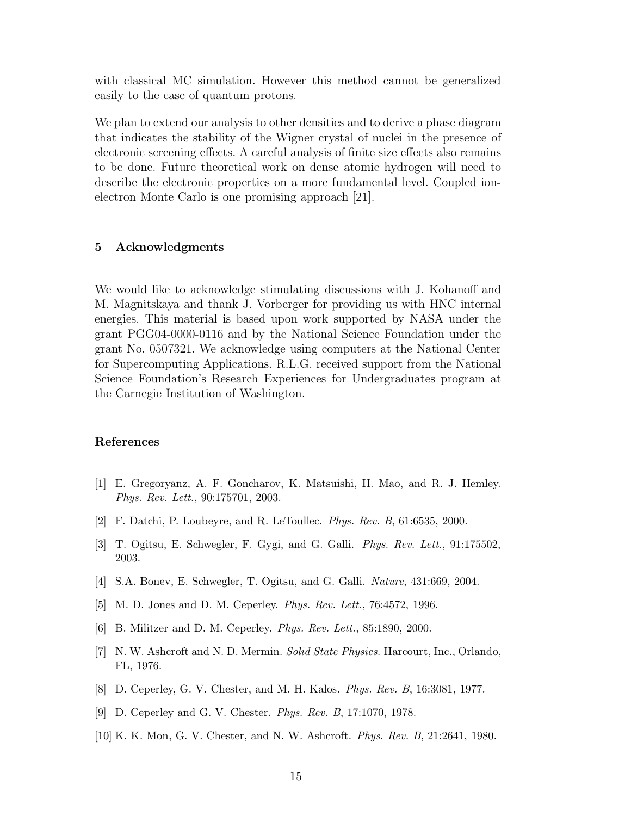with classical MC simulation. However this method cannot be generalized easily to the case of quantum protons.

We plan to extend our analysis to other densities and to derive a phase diagram that indicates the stability of the Wigner crystal of nuclei in the presence of electronic screening effects. A careful analysis of finite size effects also remains to be done. Future theoretical work on dense atomic hydrogen will need to describe the electronic properties on a more fundamental level. Coupled ionelectron Monte Carlo is one promising approach [21].

#### 5 Acknowledgments

We would like to acknowledge stimulating discussions with J. Kohanoff and M. Magnitskaya and thank J. Vorberger for providing us with HNC internal energies. This material is based upon work supported by NASA under the grant PGG04-0000-0116 and by the National Science Foundation under the grant No. 0507321. We acknowledge using computers at the National Center for Supercomputing Applications. R.L.G. received support from the National Science Foundation's Research Experiences for Undergraduates program at the Carnegie Institution of Washington.

# References

- [1] E. Gregoryanz, A. F. Goncharov, K. Matsuishi, H. Mao, and R. J. Hemley. Phys. Rev. Lett., 90:175701, 2003.
- [2] F. Datchi, P. Loubeyre, and R. LeToullec. Phys. Rev. B, 61:6535, 2000.
- [3] T. Ogitsu, E. Schwegler, F. Gygi, and G. Galli. Phys. Rev. Lett., 91:175502, 2003.
- [4] S.A. Bonev, E. Schwegler, T. Ogitsu, and G. Galli. Nature, 431:669, 2004.
- [5] M. D. Jones and D. M. Ceperley. Phys. Rev. Lett., 76:4572, 1996.
- [6] B. Militzer and D. M. Ceperley. Phys. Rev. Lett., 85:1890, 2000.
- [7] N. W. Ashcroft and N. D. Mermin. Solid State Physics. Harcourt, Inc., Orlando, FL, 1976.
- [8] D. Ceperley, G. V. Chester, and M. H. Kalos. Phys. Rev. B, 16:3081, 1977.
- [9] D. Ceperley and G. V. Chester. Phys. Rev. B, 17:1070, 1978.
- [10] K. K. Mon, G. V. Chester, and N. W. Ashcroft. Phys. Rev. B, 21:2641, 1980.